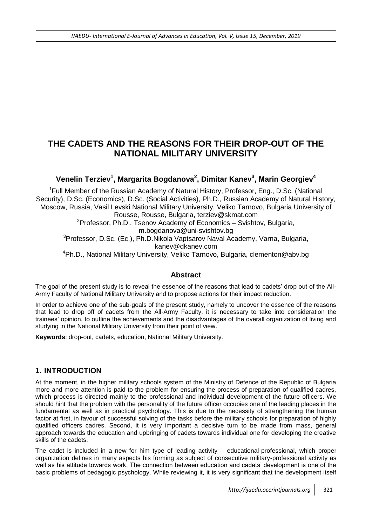# **THE CADETS AND THE REASONS FOR THEIR DROP-OUT OF THE NATIONAL MILITARY UNIVERSITY**

# **Venelin Terziev<sup>1</sup> , Margarita Bogdanova<sup>2</sup> , Dimitar Kanev<sup>3</sup> , Мarin Georgiev<sup>4</sup>**

<sup>1</sup>Full Member of the Russian Academy of Natural History, Professor, Eng., D.Sc. (National Security), D.Sc. (Economics), D.Sc. (Social Activities), Ph.D., Russian Academy of Natural History, Moscow, Russia, Vasil Levski National Military University, Veliko Tarnovo, Bulgaria University of Rousse, Rousse, Bulgaria, [terziev@skmat.com](mailto:terziev@skmat.com) <sup>2</sup>Professor, Ph.D., Tsenov Academy of Economics – Svishtov, Bulgaria, [m.bogdanova@uni-svishtov.bg](mailto:m.bogdanova@uni-svishtov.bg) <sup>3</sup>Professor, D.Sc. (Ec.), Ph.D.Nikola Vaptsarov Naval Academy, Varna, Bulgaria, kanev@dkanev.com

<sup>4</sup>Ph.D., National Military University, Veliko Tarnovo, Bulgaria, clementon@abv.bg

## **Abstract**

The goal of the present study is to reveal the essence of the reasons that lead to cadets' drop out of the All-Army Faculty of National Military University and to propose actions for their impact reduction.

In order to achieve one of the sub-goals of the present study, namely to uncover the essence of the reasons that lead to drop off of cadets from the All-Army Faculty, it is necessary to take into consideration the trainees' opinion, to outline the achievements and the disadvantages of the overall organization of living and studying in the National Military University from their point of view.

**Keywords**: drop-out, cadets, education, National Military University.

## **1. INTRODUCTION**

At the moment, in the higher military schools system of the Ministry of Defence of the Republic of Bulgaria more and more attention is paid to the problem for ensuring the process of preparation of qualified cadres, which process is directed mainly to the professional and individual development of the future officers. We should hint that the problem with the personality of the future officer occupies one of the leading places in the fundamental as well as in practical psychology. This is due to the necessity of strengthening the human factor at first, in favour of successful solving of the tasks before the military schools for preparation of highly qualified officers cadres. Second, it is very important a decisive turn to be made from mass, general approach towards the education and upbringing of cadets towards individual one for developing the creative skills of the cadets.

The cadet is included in a new for him type of leading activity – educational-professional, which proper organization defines in many aspects his forming as subject of consecutive military-professional activity as well as his attitude towards work. The connection between education and cadets' development is one of the basic problems of pedagogic psychology. While reviewing it, it is very significant that the development itself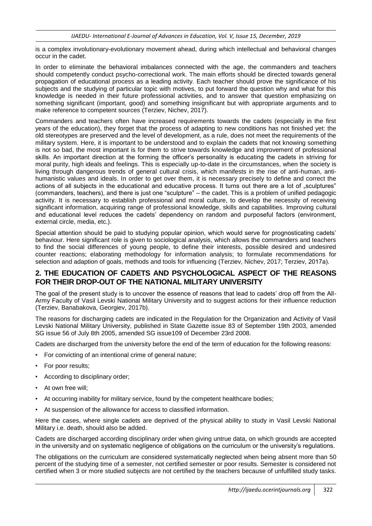is a complex involutionary-evolutionary movement ahead, during which intellectual and behavioral changes occur in the cadet.

In order to eliminate the behavioral imbalances connected with the age, the commanders and teachers should competently conduct psycho-correctional work. The main efforts should be directed towards general propagation of educational process as a leading activity. Each teacher should prove the significance of his subjects and the studying of particular topic with motives, to put forward the question why and what for this knowledge is needed in their future professional activities, and to answer that question emphasizing on something significant (important, good) and something insignificant but with appropriate arguments and to make reference to competent sources (Terziev, Nichev, 2017).

Commanders and teachers often have increased requirements towards the cadets (especially in the first years of the education), they forget that the process of adapting to new conditions has not finished yet: the old stereotypes are preserved and the level of development, as a rule, does not meet the requirements of the military system. Here, it is important to be understood and to explain the cadets that not knowing something is not so bad, the most important is for them to strive towards knowledge and improvement of professional skills. An important direction at the forming the officer's personality is educating the cadets in striving for moral purity, high ideals and feelings. This is especially up-to-date in the circumstances, when the society is living through dangerous trends of general cultural crisis, which manifests in the rise of anti-human, antihumanistic values and ideals. In order to get over them, it is necessary precisely to define and correct the actions of all subjects in the educational and educative process. It turns out there are a lot of "sculptures" (commanders, teachers), and there is just one "sculpture" – the cadet. This is a problem of unified pedagogic activity. It is necessary to establish professional and moral culture, to develop the necessity of receiving significant information, acquiring range of professional knowledge, skills and capabilities. Improving cultural and educational level reduces the cadets' dependency on random and purposeful factors (environment, external circle, media, etc.).

Special attention should be paid to studying popular opinion, which would serve for prognosticating cadets' behaviour. Here significant role is given to sociological analysis, which allows the commanders and teachers to find the social differences of young people, to define their interests, possible desired and undesired counter reactions; elaborating methodology for information analysis; to formulate recommendations for selection and adaption of goals, methods and tools for influencing (Terziev, Nichev, 2017; Terziev, 2017a).

#### **2. THE EDUCATION OF CADETS AND PSYCHOLOGICAL ASPECT OF THE REASONS FOR THEIR DROP-OUT OF THE NATIONAL MILITARY UNIVERSITY**

The goal of the present study is to uncover the essence of reasons that lead to cadets' drop off from the All-Army Faculty of Vasil Levski National Military University and to suggest actions for their influence reduction (Terziev, Banabakova, Georgiev, 2017b).

The reasons for discharging cadets are indicated in the Regulation for the Organization and Activity of Vasil Levski National Military University, published in State Gazette issue 83 of September 19th 2003, amended SG issue 56 of July 8th 2005, amended SG issue109 of December 23rd 2008.

Cadets are discharged from the university before the end of the term of education for the following reasons:

- For convicting of an intentional crime of general nature;
- For poor results;
- According to disciplinary order:
- At own free will:
- At occurring inability for military service, found by the competent healthcare bodies;
- At suspension of the allowance for access to classified information.

Here the cases, where single cadets are deprived of the physical ability to study in Vasil Levski National Military i.e. death, should also be added.

Cadets are discharged according disciplinary order when giving untrue data, on which grounds are accepted in the university and on systematic negligence of obligations on the curriculum or the university's regulations.

The obligations on the curriculum are considered systematically neglected when being absent more than 50 percent of the studying time of a semester, not certified semester or poor results. Semester is considered not certified when 3 or more studied subjects are not certified by the teachers because of unfulfilled study tasks.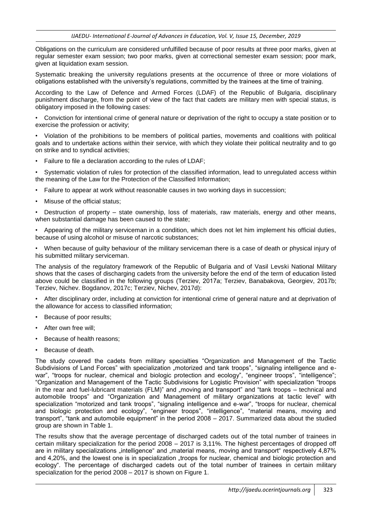Obligations on the curriculum are considered unfulfilled because of poor results at three poor marks, given at regular semester exam session; two poor marks, given at correctional semester exam session; poor mark, given at liquidation exam session.

Systematic breaking the university regulations presents at the occurrence of three or more violations of obligations established with the university's regulations, committed by the trainees at the time of training.

According to the Law of Defence and Armed Forces (LDAF) of the Republic of Bulgaria, disciplinary punishment discharge, from the point of view of the fact that cadets are military men with special status, is obligatory imposed in the following cases:

• Conviction for intentional crime of general nature or deprivation of the right to occupy a state position or to exercise the profession or activity;

• Violation of the prohibitions to be members of political parties, movements and coalitions with political goals and to undertake actions within their service, with which they violate their political neutrality and to go on strike and to syndical activities;

• Failure to file a declaration according to the rules of LDAF;

• Systematic violation of rules for protection of the classified information, lead to unregulated access within the meaning of the Law for the Protection of the Classified Information;

- Failure to appear at work without reasonable causes in two working days in succession;
- Misuse of the official status;

• Destruction of property – state ownership, loss of materials, raw materials, energy and other means, when substantial damage has been caused to the state;

• Appearing of the military serviceman in a condition, which does not let him implement his official duties, because of using alcohol or misuse of narcotic substances;

• When because of guilty behaviour of the military serviceman there is a case of death or physical injury of his submitted military serviceman.

The analysis of the regulatory framework of the Republic of Bulgaria and of Vasil Levski National Military shows that the cases of discharging cadets from the university before the end of the term of education listed above could be classified in the following groups (Terziev, 2017а; Terziev, Banabakova, Georgiev, 2017b; Terziev, Nichev. Bogdanov, 2017c; Terziev, Nichev, 2017d):

• After disciplinary order, including at conviction for intentional crime of general nature and at deprivation of the allowance for access to classified information;

- Because of poor results;
- After own free will:
- Because of health reasons;
- Because of death.

The study covered the cadets from military specialties "Organization and Management of the Tactic Subdivisions of Land Forces" with specialization "motorized and tank troops", "signaling intelligence and ewar", "troops for nuclear, chemical and biologic protection and ecology", "engineer troops", "intelligence"; "Organization and Management of the Tactic Subdivisions for Logistic Provision" with specialization "troops in the rear and fuel-lubricant materials (FLM)" and "moving and transport" and "tank troops – technical and automobile troops" and "Organization and Management of military organizations at tactic level" with specialization "motorized and tank troops", "signaling intelligence and e-war", "troops for nuclear, chemical and biologic protection and ecology", "engineer troops", "intelligence", "material means, moving and transport", "tank and automobile equipment" in the period 2008 – 2017. Summarized data about the studied group are shown in Table 1.

The results show that the average percentage of discharged cadets out of the total number of trainees in certain military specialization for the period 2008 – 2017 is 3,11%. The highest percentages of dropped off are in military specializations "intelligence" and "material means, moving and transport" respectively 4,87% and 4,20%, and the lowest one is in specialization "troops for nuclear, chemical and biologic protection and ecology". The percentage of discharged cadets out of the total number of trainees in certain military specialization for the period 2008 – 2017 is shown on Figure 1.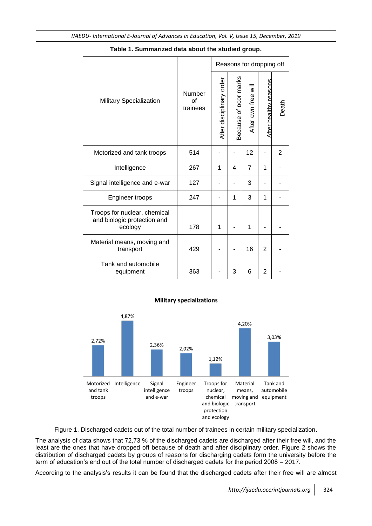| Military Specialization                                                | Number<br>$\alpha$ f<br>trainees | Reasons for dropping off |                       |                     |                              |       |
|------------------------------------------------------------------------|----------------------------------|--------------------------|-----------------------|---------------------|------------------------------|-------|
|                                                                        |                                  | After disciplinary order | Because of poor marks | After own free will | <u>After healthy reasons</u> | Death |
| Motorized and tank troops                                              | 514                              |                          |                       | 12                  |                              | 2     |
| Intelligence                                                           | 267                              | 1                        | 4                     | 7                   | 1                            |       |
| Signal intelligence and e-war                                          | 127                              |                          |                       | 3                   |                              |       |
| Engineer troops                                                        | 247                              |                          | 1                     | 3                   | 1                            |       |
| Troops for nuclear, chemical<br>and biologic protection and<br>ecology | 178                              | 1                        |                       | 1                   |                              |       |
| Material means, moving and<br>transport                                | 429                              |                          |                       | 16                  | $\overline{2}$               |       |
| Tank and automobile<br>equipment                                       | 363                              |                          | 3                     | 6                   | 2                            |       |

#### **Table 1. Summarized data about the studied group.**



## **Military specializations**

Figure 1. Discharged cadets out of the total number of trainees in certain military specialization.

The analysis of data shows that 72,73 % of the discharged cadets are discharged after their free will, and the least are the ones that have dropped off because of death and after disciplinary order. Figure 2 shows the distribution of discharged cadets by groups of reasons for discharging cadets form the university before the term of education's end out of the total number of discharged cadets for the period 2008 – 2017.

According to the analysis's results it can be found that the discharged cadets after their free will are almost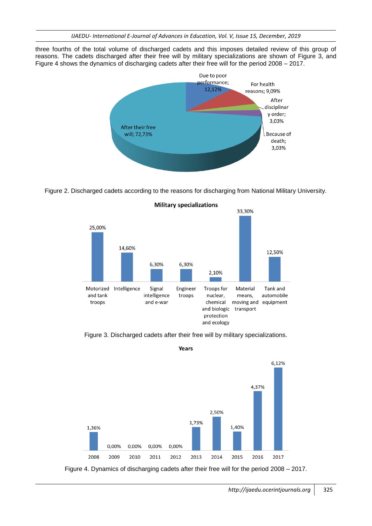three fourths of the total volume of discharged cadets and this imposes detailed review of this group of reasons. The cadets discharged after their free will by military specializations are shown of Figure 3, and Figure 4 shows the dynamics of discharging cadets after their free will for the period 2008 – 2017.



Figure 2. Discharged cadets according to the reasons for discharging from National Military University.



Figure 3. Discharged cadets after their free will by military specializations.



Years

Figure 4. Dynamics of discharging cadets after their free will for the period 2008 – 2017.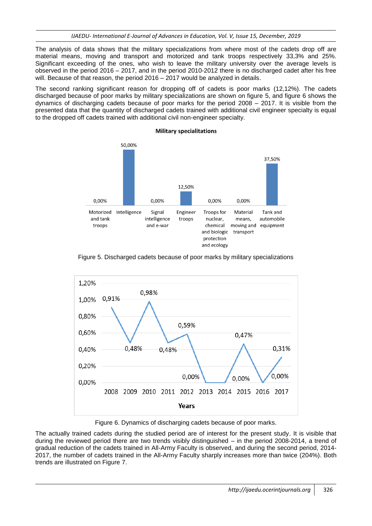The analysis of data shows that the military specializations from where most of the cadets drop off are material means, moving and transport and motorized and tank troops respectively 33,3% and 25%. Significant exceeding of the ones, who wish to leave the military university over the average levels is observed in the period 2016 – 2017, and in the period 2010-2012 there is no discharged cadet after his free will. Because of that reason, the period 2016 – 2017 would be analyzed in details.

The second ranking significant reason for dropping off of cadets is poor marks (12,12%). The cadets discharged because of poor marks by military specializations are shown on figure 5, and figure 6 shows the dynamics of discharging cadets because of poor marks for the period 2008 – 2017. It is visible from the presented data that the quantity of discharged cadets trained with additional civil engineer specialty is equal to the dropped off cadets trained with additional civil non-engineer specialty.

**Military specialitations** 



Figure 5. Discharged cadets because of poor marks by military specializations



Figure 6. Dynamics of discharging cadets because of poor marks.

The actually trained cadets during the studied period are of interest for the present study. It is visible that during the reviewed period there are two trends visibly distinguished – in the period 2008-2014, a trend of gradual reduction of the cadets trained in All-Army Faculty is observed, and during the second period, 2014- 2017, the number of cadets trained in the All-Army Faculty sharply increases more than twice (204%). Both trends are illustrated on Figure 7.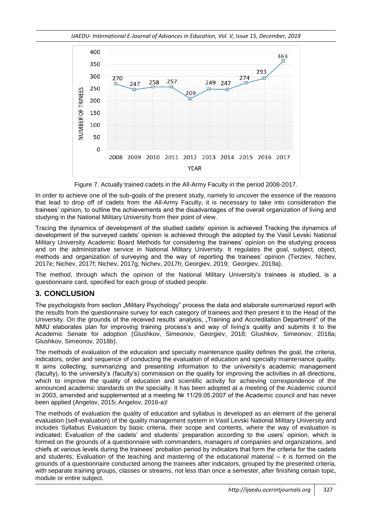*IJAEDU- International E-Journal of Advances in Education, Vol. V, Issue 15, December, 2019*



Figure 7. Actually trained cadets in the All-Army Faculty in the period 2008-2017.

In order to achieve one of the sub-goals of the present study, namely to uncover the essence of the reasons that lead to drop off of cadets from the All-Army Faculty, it is necessary to take into consideration the trainees' opinion, to outline the achievements and the disadvantages of the overall organization of living and studying in the National Military University from their point of view.

Tracing the dynamics of development of the studied cadets' opinion is achieved Tracking the dynamics of development of the surveyed cadets' opinion is achieved through the adopted by the Vasil Levski National Military University Academic Board Methods for considering the trainees' opinion on the studying process and on the administrative service in National Military University. It regulates the goal, subject, object, methods and organization of surveying and the way of reporting the trainees' opinion (Terziev, Nichev, 2017e; Nichev, 2017f; Nichev, 2017g; Nichev, 2017h; Georgiev, 2019; Georgiev, 2019a).

The method, through which the opinion of the National Military University's trainees is studied, is a questionnaire card, specified for each group of studied people.

# **3. CONCLUSION**

The psychologists from section "Military Psychology" process the data and elaborate summarized report with the results from the questionnaire survey for each category of trainees and then present it to the Head of the University. On the grounds of the received results' analysis, "Training and Accreditation Department" of the NMU elaborates plan for improving training process's and way of living's quality and submits it to the Academic Senate for adoption (Glushkov, Simeonov, Georgiev, 2018; Glushkov, Simeonov, 2018a; Glushkov, Simeonov, 2018b).

The methods of evaluation of the education and specialty maintenance quality defines the goal, the criteria, indicators, order and sequence of conducting the evaluation of education and specialty maintenance quality. It aims collecting, summarizing and presenting information to the university's academic management (faculty), to the university's (faculty's) commission on the quality for improving the activities in all directions, which to improve the quality of education and scientific activity for achieving correspondence of the announced academic standards on the specialty. It has been adopted at a meeting of the Academic council in 2003, amended and supplemented at a meeting № 11/29.05.2007 of the Academic council and has never been applied (Angelov, 2015; Angelov, 2016-а)!

The methods of evaluation the quality of education and syllabus is developed as an element of the general evaluation (self-evaluation) of the quality management system in Vasil Levski National Military University and includes Syllabus Evaluation by basic criteria, their scope and contents, where the way of evaluation is indicated; Evaluation of the cadets' and students' preparation according to the users' opinion, which is formed on the grounds of a questionnaire with commanders, managers of companies and organizations, and chiefs at various levels during the trainees' probation period by indicators that form the criteria for the cadets and students; Evaluation of the teaching and mastering of the educational material – it is formed on the grounds of a questionnaire conducted among the trainees after indicators, grouped by the presented criteria, with separate training groups, classes or streams, not less than once a semester, after finishing certain topic, module or entire subject.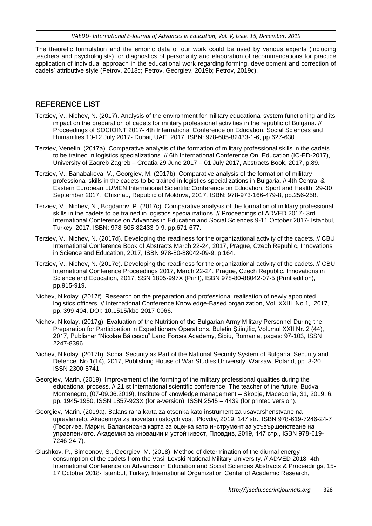The theoretic formulation and the empiric data of our work could be used by various experts (including teachers and psychologists) for diagnostics of personality and elaboration of recommendations for practice application of individual approach in the educational work regarding forming, development and correction of cadets' attributive style (Petrov, 2018c; Petrov, Georgiev, 2019b; Petrov, 2019c).

#### **REFERENCE LIST**

- Terziev, V., Nichev, N. (2017). Analysis of the environment for military educational system functioning and its impact on the preparation of cadets for military professional activities in the republic of Bulgaria. // Proceedings of SOCIOINT 2017- 4th International Conference on Education, Social Sciences and Humanities 10-12 July 2017- Dubai, UAE, 2017, ISBN: 978-605-82433-1-6, pp.627-630.
- Terziev, Venelin. (2017а). Comparative analysis of the formation of military professional skills in the cadets to be trained in logistics specializations. // 6th International Conference On Education (IC-ED-2017), University of Zagreb Zagreb – Croatia 29 June 2017 – 01 July 2017, Abstracts Book, 2017, p.89.
- Terziev, V., Banabakova, V., Georgiev, M. (2017b). Comparative analysis of the formation of military professional skills in the cadets to be trained in logistics specializations in Bulgaria. // 4th Central & Eastern European LUMEN International Scientific Conference on Education, Sport and Health, 29-30 September 2017, Chisinau, Republic of Moldova, 2017, ISBN: 978-973-166-479-8, pp.256-258.
- Terziev, V., Nichev, N., Bogdanov, P. (2017c). Comparative analysis of the formation of military professional skills in the cadets to be trained in logistics specializations. // Proceedings of ADVED 2017- 3rd International Conference on Advances in Education and Social Sciences 9-11 October 2017- Istanbul, Turkey, 2017, ISBN: 978-605-82433-0-9, pp.671-677.
- Terziev, V., Nichev, N. (2017d). Developing the readiness for the organizational activity of the cadets. // CBU International Conference Book of Abstracts March 22-24, 2017, Prague, Czech Republic, Innovations in Science and Education, 2017, ISBN 978-80-88042-09-9, p.164.
- Terziev, V., Nichev, N. (2017e). Developing the readiness for the organizational activity of the cadets. // CBU International Conference Proceedings 2017, March 22-24, Prague, Czech Republic, Innovations in Science and Education, 2017, SSN 1805-997X (Print), ISBN 978-80-88042-07-5 (Print edition), pp.915-919.
- Nichev, Nikolay. (2017f). Research on the preparation and professional realisation of newly appointed logistics officers. // International Conference Knowledge-Based organization, Vol. XXIII, No 1, 2017, pp. 399-404, DOI: 10.1515/kbo-2017-0066.
- Nichev, Nikolay. (2017g). Evaluation of the Nutrition of the Bulgarian Army Military Personnel During the Preparation for Participation in Expeditionary Operations. Buletin Stiintific, Volumul XXII Nr. 2 (44), 2017, Publisher "Nicolae Bălcescu" Land Forces Academy, Sibiu, Romania, pages: 97-103, ISSN 2247-8396.
- Nichev, Nikolay. (2017h). Social Security as Part of the National Security System of Bulgaria. Security and Defence, No 1(14), 2017, Publishing House of War Studies University, Warsaw, Poland, pp. 3-20, ISSN 2300-8741.
- Georgiev, Marin. (2019). Improvement of the forming of the military professional qualities during the educational process. // 21 st International scientific conference: The teacher of the future, Budva, Montenegro, (07-09.06.2019), Institute of knowledge management – Skopje, Macedonia, 31, 2019, 6, pp. 1945-1950, ISSN 1857-923X (for e-version), ISSN 2545 – 4439 (for printed version).
- Georgiev, Marin. (2019a). Balansirana karta za otsenka kato instrument za usavarshenstvane na upravlenieto. Akademiya za inovatsii i ustoychivost, Plovdiv, 2019, 147 str., ISBN 978-619-7246-24-7 (Георгиев, Марин. Балансирана карта за оценка като инструмент за усъвършенстване на управлението. Академия за иновации и устойчивост, Пловдив, 2019, 147 стр., ISBN 978-619- 7246-24-7).
- Glushkov, P., Simeonov, S., Georgiev, M. (2018). Method of determination of the diurnal energy consumption of the cadets from the Vasil Levski National Military University. // ADVED 2018- 4th International Conference on Advances in Education and Social Sciences Abstracts & Proceedings, 15- 17 October 2018- Istanbul, Turkey, International Organization Center of Academic Research,